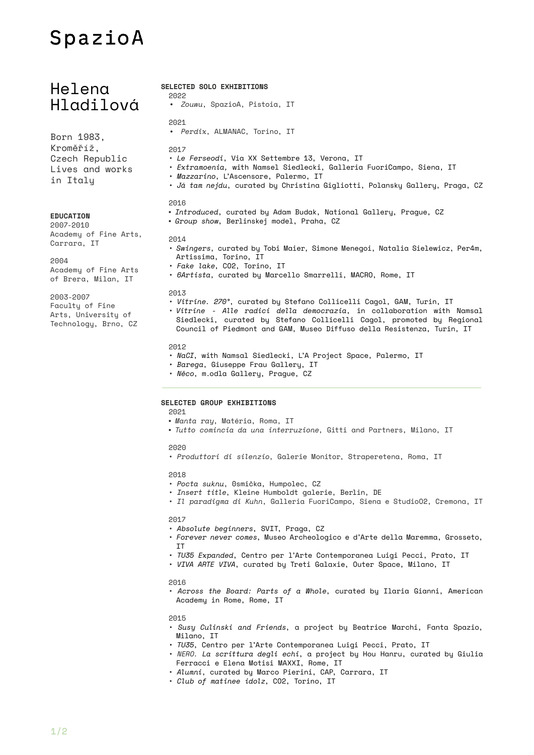# SpazioA

## Helena Hladilová

Born 1983, Kroměříž, Czech Republic Lives and works in Italy

#### **EDUCATION**

2007-2010 Academy of Fine Arts, Carrara, IT

#### 2004

Academy of Fine Arts of Brera, Milan, IT

#### 2003-2007

Faculty of Fine Arts, University of Technology, Brno, CZ  • *Zouwu*, SpazioA, Pistoia, IT 2021 • *Perdix*, ALMANAC, Torino, IT 2017 • *Le Ferseodi*, Via XX Settembre 13, Verona, IT • *Extramoenia,* with Namsel Siedlecki, Galleria FuoriCampo, Siena, IT • *Mazzarino*, L'Ascensore, Palermo, IT • *Já tam nejdu*, curated by Christina Gigliotti, Polansky Gallery, Praga, CZ 2016 • *Introduced*, curated by Adam Budak, National Gallery, Prague, CZ • *Group show*, Berlinskej model, Praha, CZ 2014 • *Swingers*, curated by Tobi Maier, Simone Menegoi, Natalia Sielewicz, Per4m, Artissima, Torino, IT • *Fake lake*, CO2, Torino, IT • *6Artista*, curated by Marcello Smarrelli, MACRO, Rome, IT 2013 • *Vitrine. 270°*, curated by Stefano Collicelli Cagol, GAM, Turin, IT • *Vitrine - Alle radici della democrazia*, in collaboration with Namsal Siedlecki, curated by Stefano Collicelli Cagol, promoted by Regional

#### 2012

• *NaCI*, with Namsal Siedlecki, L'A Project Space, Palermo, IT

Council of Piedmont and GAM, Museo Diffuso della Resistenza, Turin, IT

- *Barega*, Giuseppe Frau Gallery, IT
- *Něco*, m.odla Gallery, Prague, CZ

### **SELECTED GROUP EXHIBITIONS**

**SELECTED SOLO EXHIBITIONS**

2022

2021

- *Manta ray*, Matéria, Roma, IT
- *Tutto comincia da una interruzione*, Gitti and Partners, Milano, IT

#### 2020

• *Produttori di silenzio*, Galerie Monitor, Straperetena, Roma, IT

#### 2018

- *Pocta suknu*, 0smička, Humpolec, CZ
- *Insert title*, Kleine Humboldt galerie, Berlin, DE
- *Il paradigma di Kuhn*, Galleria FuoriCampo, Siena e StudioO2, Cremona, IT

#### 2017

- *Absolute beginners*, SVIT, Praga, CZ
- *Forever never comes*, Museo Archeologico e d'Arte della Maremma, Grosseto, IT
- *TU35 Expanded*, Centro per l'Arte Contemporanea Luigi Pecci, Prato, IT
- *VIVA ARTE VIVA*, curated by Treti Galaxie, Outer Space, Milano, IT

#### 2016

• *Across the Board: Parts of a Whole*, curated by Ilaria Gianni, American Academy in Rome, Rome, IT

#### 2015

- *Susy Culinski and Friends*, a project by Beatrice Marchi, Fanta Spazio, Milano, IT
- *TU35*, Centro per l'Arte Contemporanea Luigi Pecci, Prato, IT
- *NERO. La scrittura degli echi*, a project by Hou Hanru, curated by Giulia Ferracci e Elena Motisi MAXXI, Rome, IT
- *Alumni*, curated by Marco Pierini, CAP, Carrara, IT
- *Club of matinee idolz*, CO2, Torino, IT